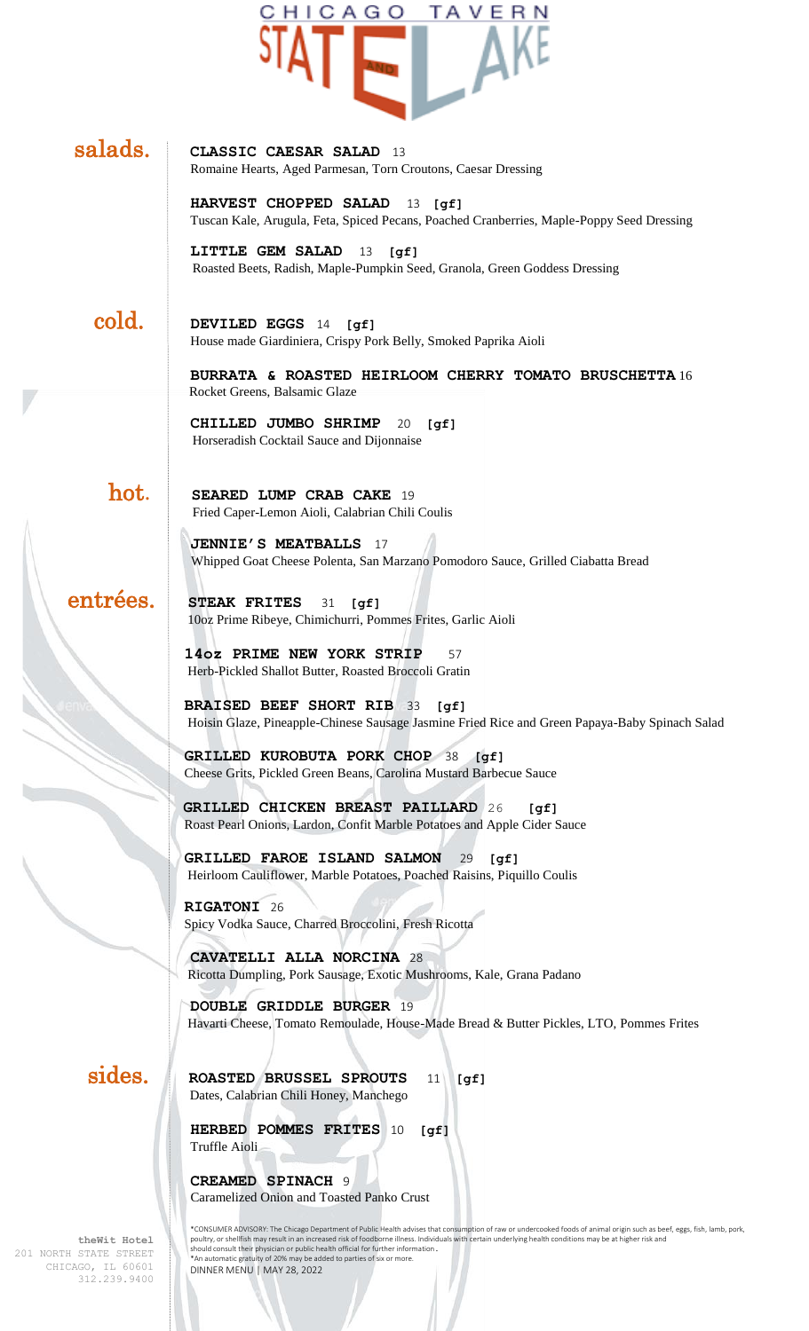

## salads. **CLASSIC CAESAR SALAD**<sup>13</sup>

Romaine Hearts, Aged Parmesan, Torn Croutons, Caesar Dressing

**HARVEST CHOPPED SALAD** 13 **[gf]** Tuscan Kale, Arugula, Feta, Spiced Pecans, Poached Cranberries, Maple-Poppy Seed Dressing

**LITTLE GEM SALAD** 13 **[gf]** Roasted Beets, Radish, Maple-Pumpkin Seed, Granola, Green Goddess Dressing

 cold. **DEVILED EGGS** 14 **[gf]** House made Giardiniera, Crispy Pork Belly, Smoked Paprika Aioli

> **BURRATA & ROASTED HEIRLOOM CHERRY TOMATO BRUSCHETTA** 16 Rocket Greens, Balsamic Glaze

**CHILLED JUMBO SHRIMP** 20 **[gf]** Horseradish Cocktail Sauce and Dijonnaise

hot. **SEARED LUMP CRAB CAKE** <sup>19</sup> Fried Caper-Lemon Aioli, Calabrian Chili Coulis

> **JENNIE'S MEATBALLS** 17 Whipped Goat Cheese Polenta, San Marzano Pomodoro Sauce, Grilled Ciabatta Bread

 entrées. **STEAK FRITES** 31 **[gf]** 10oz Prime Ribeye, Chimichurri, Pommes Frites, Garlic Aioli

> **14oz PRIME NEW YORK STRIP** 57 Herb-Pickled Shallot Butter, Roasted Broccoli Gratin

**BRAISED BEEF SHORT RIB** 33 **[gf]** Hoisin Glaze, Pineapple-Chinese Sausage Jasmine Fried Rice and Green Papaya-Baby Spinach Salad

**GRILLED KUROBUTA PORK CHOP** 38 **[gf]** Cheese Grits, Pickled Green Beans, Carolina Mustard Barbecue Sauce

 **GRILLED CHICKEN BREAST PAILLARD** 26 **[gf]** Roast Pearl Onions, Lardon, Confit Marble Potatoes and Apple Cider Sauce

**GRILLED FAROE ISLAND SALMON** 29 **[gf]** Heirloom Cauliflower, Marble Potatoes, Poached Raisins, Piquillo Coulis

**RIGATONI** 26 Spicy Vodka Sauce, Charred Broccolini, Fresh Ricotta

 **CAVATELLI ALLA NORCINA** 28 Ricotta Dumpling, Pork Sausage, Exotic Mushrooms, Kale, Grana Padano

 **DOUBLE GRIDDLE BURGER** 19 Havarti Cheese, Tomato Remoulade, House-Made Bread & Butter Pickles, LTO, Pommes Frites

**theWit Hotel**

 sides. **ROASTED BRUSSEL SPROUTS** 11 **[gf]** Dates, Calabrian Chili Honey, Manchego

> **HERBED POMMES FRITES** 10 **[gf]** Truffle Aioli

**CREAMED SPINACH** 9 Caramelized Onion and Toasted Panko Crust

\*CONSUMER ADVISORY: The Chicago Department of Public Health advises that consumption of raw or undercooked foods of animal origin such as beef, eggs, fish, lamb, pork,<br>poultry, or shellfish may result in an increased risk DINNER MENU | MAY 28, 2022

201 NORTH STATE STREET CHICAGO, IL 60601 312.239.9400